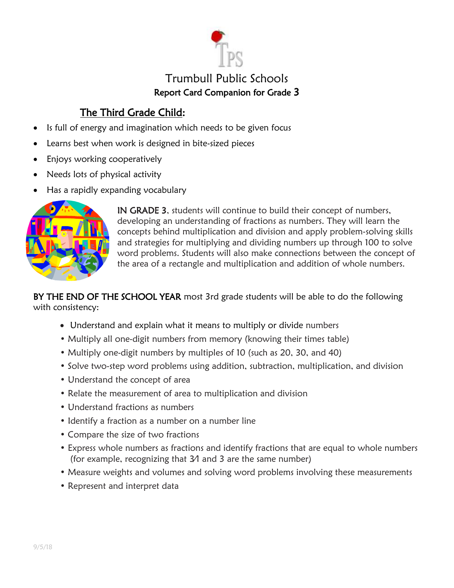

# Trumbull Public Schools Report Card Companion for Grade 3

# The Third Grade Child:

- Is full of energy and imagination which needs to be given focus
- Learns best when work is designed in bite-sized pieces
- Enjoys working cooperatively
- Needs lots of physical activity
- Has a rapidly expanding vocabulary



IN GRADE 3, students will continue to build their concept of numbers, developing an understanding of fractions as numbers. They will learn the concepts behind multiplication and division and apply problem-solving skills and strategies for multiplying and dividing numbers up through 100 to solve word problems. Students will also make connections between the concept of the area of a rectangle and multiplication and addition of whole numbers.

BY THE END OF THE SCHOOL YEAR most 3rd grade students will be able to do the following with consistency:

- Understand and explain what it means to multiply or divide numbers
- Multiply all one-digit numbers from memory (knowing their times table)
- Multiply one-digit numbers by multiples of 10 (such as 20, 30, and 40)
- Solve two-step word problems using addition, subtraction, multiplication, and division
- Understand the concept of area
- Relate the measurement of area to multiplication and division
- Understand fractions as numbers
- Identify a fraction as a number on a number line
- Compare the size of two fractions
- Express whole numbers as fractions and identify fractions that are equal to whole numbers (for example, recognizing that 3⁄1 and 3 are the same number)
- Measure weights and volumes and solving word problems involving these measurements
- Represent and interpret data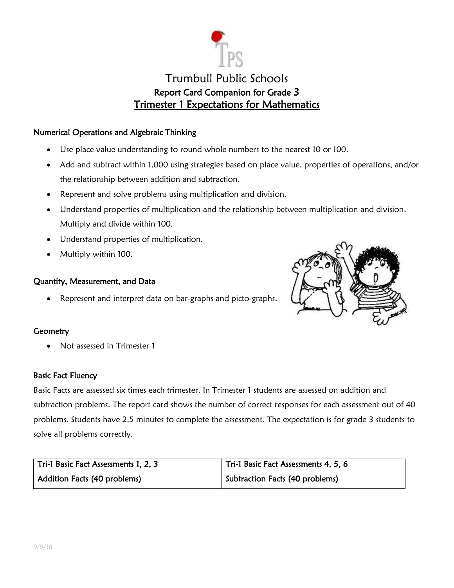

# Trumbull Public Schools Report Card Companion for Grade 3 Trimester 1 Expectations for Mathematics

### Numerical Operations and Algebraic Thinking

- Use place value understanding to round whole numbers to the nearest 10 or 100.
- Add and subtract within 1,000 using strategies based on place value, properties of operations, and/or the relationship between addition and subtraction.
- Represent and solve problems using multiplication and division.
- Understand properties of multiplication and the relationship between multiplication and division. Multiply and divide within 100.
- Understand properties of multiplication.
- Multiply within 100.

#### Quantity, Measurement, and Data

Represent and interpret data on bar-graphs and picto-graphs.



## **Geometry**

Not assessed in Trimester 1

#### Basic Fact Fluency

Basic Facts are assessed six times each trimester. In Trimester 1 students are assessed on addition and subtraction problems. The report card shows the number of correct responses for each assessment out of 40 problems. Students have 2.5 minutes to complete the assessment. The expectation is for grade 3 students to solve all problems correctly.

| Tri-1 Basic Fact Assessments 1, 2, 3 | Tri-1 Basic Fact Assessments 4, 5, 6 |
|--------------------------------------|--------------------------------------|
| <b>Addition Facts (40 problems)</b>  | Subtraction Facts (40 problems)      |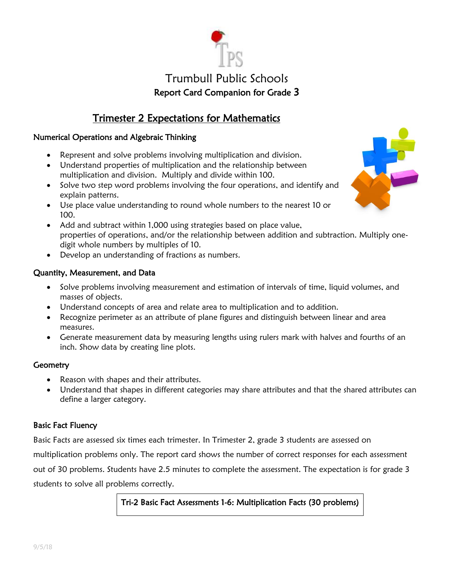# Trumbull Public Schools Report Card Companion for Grade 3

# Trimester 2 Expectations for Mathematics

## Numerical Operations and Algebraic Thinking

- Represent and solve problems involving multiplication and division.
- Understand properties of multiplication and the relationship between multiplication and division. Multiply and divide within 100.
- Solve two step word problems involving the four operations, and identify and explain patterns.
- Use place value understanding to round whole numbers to the nearest 10 or 100.
- Add and subtract within 1,000 using strategies based on place value, properties of operations, and/or the relationship between addition and subtraction. Multiply onedigit whole numbers by multiples of 10.
- Develop an understanding of fractions as numbers.

## Quantity, Measurement, and Data

- Solve problems involving measurement and estimation of intervals of time, liquid volumes, and masses of objects.
- Understand concepts of area and relate area to multiplication and to addition.
- Recognize perimeter as an attribute of plane figures and distinguish between linear and area measures.
- Generate measurement data by measuring lengths using rulers mark with halves and fourths of an inch. Show data by creating line plots.

#### **Geometry**

- Reason with shapes and their attributes.
- Understand that shapes in different categories may share attributes and that the shared attributes can define a larger category.

## Basic Fact Fluency

Basic Facts are assessed six times each trimester. In Trimester 2, grade 3 students are assessed on

multiplication problems only. The report card shows the number of correct responses for each assessment

out of 30 problems. Students have 2.5 minutes to complete the assessment. The expectation is for grade 3

students to solve all problems correctly.

## Tri-2 Basic Fact Assessments 1-6: Multiplication Facts (30 problems)